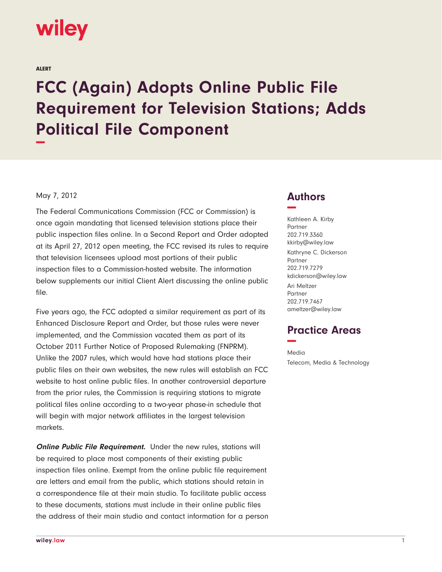

ALERT

## **FCC (Again) Adopts Online Public File Requirement for Television Stations; Adds Political File Component −**

## May 7, 2012

The Federal Communications Commission (FCC or Commission) is once again mandating that licensed television stations place their public inspection files online. In a Second Report and Order adopted at its April 27, 2012 open meeting, the FCC revised its rules to require that television licensees upload most portions of their public inspection files to a Commission-hosted website. The information below supplements our initial Client Alert discussing the online public file.

Five years ago, the FCC adopted a similar requirement as part of its Enhanced Disclosure Report and Order, but those rules were never implemented, and the Commission vacated them as part of its October 2011 Further Notice of Proposed Rulemaking (FNPRM). Unlike the 2007 rules, which would have had stations place their public files on their own websites, the new rules will establish an FCC website to host online public files. In another controversial departure from the prior rules, the Commission is requiring stations to migrate political files online according to a two-year phase-in schedule that will begin with major network affiliates in the largest television markets.

**Online Public File Requirement.** Under the new rules, stations will be required to place most components of their existing public inspection files online. Exempt from the online public file requirement are letters and email from the public, which stations should retain in a correspondence file at their main studio. To facilitate public access to these documents, stations must include in their online public files the address of their main studio and contact information for a person

## **Authors −**

Kathleen A. Kirby Partner 202.719.3360 kkirby@wiley.law Kathryne C. Dickerson Partner 202.719.7279 kdickerson@wiley.law Ari Meltzer Partner 202.719.7467 ameltzer@wiley.law

## **Practice Areas −**

Media Telecom, Media & Technology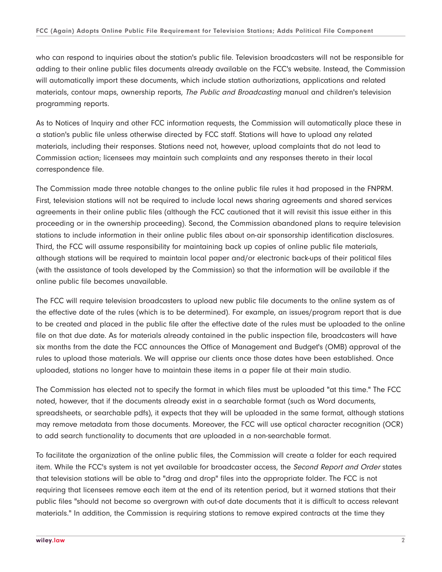who can respond to inquiries about the station's public file. Television broadcasters will not be responsible for adding to their online public files documents already available on the FCC's website. Instead, the Commission will automatically import these documents, which include station authorizations, applications and related materials, contour maps, ownership reports, The Public and Broadcasting manual and children's television programming reports.

As to Notices of Inquiry and other FCC information requests, the Commission will automatically place these in a station's public file unless otherwise directed by FCC staff. Stations will have to upload any related materials, including their responses. Stations need not, however, upload complaints that do not lead to Commission action; licensees may maintain such complaints and any responses thereto in their local correspondence file.

The Commission made three notable changes to the online public file rules it had proposed in the FNPRM. First, television stations will not be required to include local news sharing agreements and shared services agreements in their online public files (although the FCC cautioned that it will revisit this issue either in this proceeding or in the ownership proceeding). Second, the Commission abandoned plans to require television stations to include information in their online public files about on-air sponsorship identification disclosures. Third, the FCC will assume responsibility for maintaining back up copies of online public file materials, although stations will be required to maintain local paper and/or electronic back-ups of their political files (with the assistance of tools developed by the Commission) so that the information will be available if the online public file becomes unavailable.

The FCC will require television broadcasters to upload new public file documents to the online system as of the effective date of the rules (which is to be determined). For example, an issues/program report that is due to be created and placed in the public file after the effective date of the rules must be uploaded to the online file on that due date. As for materials already contained in the public inspection file, broadcasters will have six months from the date the FCC announces the Office of Management and Budget's (OMB) approval of the rules to upload those materials. We will apprise our clients once those dates have been established. Once uploaded, stations no longer have to maintain these items in a paper file at their main studio.

The Commission has elected not to specify the format in which files must be uploaded "at this time." The FCC noted, however, that if the documents already exist in a searchable format (such as Word documents, spreadsheets, or searchable pdfs), it expects that they will be uploaded in the same format, although stations may remove metadata from those documents. Moreover, the FCC will use optical character recognition (OCR) to add search functionality to documents that are uploaded in a non-searchable format.

To facilitate the organization of the online public files, the Commission will create a folder for each required item. While the FCC's system is not yet available for broadcaster access, the *Second Report and Order* states that television stations will be able to "drag and drop" files into the appropriate folder. The FCC is not requiring that licensees remove each item at the end of its retention period, but it warned stations that their public files "should not become so overgrown with out-of date documents that it is difficult to access relevant materials." In addition, the Commission is requiring stations to remove expired contracts at the time they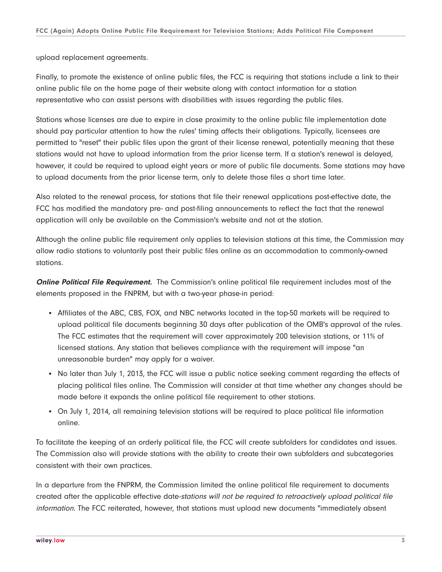upload replacement agreements.

Finally, to promote the existence of online public files, the FCC is requiring that stations include a link to their online public file on the home page of their website along with contact information for a station representative who can assist persons with disabilities with issues regarding the public files.

Stations whose licenses are due to expire in close proximity to the online public file implementation date should pay particular attention to how the rules' timing affects their obligations. Typically, licensees are permitted to "reset" their public files upon the grant of their license renewal, potentially meaning that these stations would not have to upload information from the prior license term. If a station's renewal is delayed, however, it could be required to upload eight years or more of public file documents. Some stations may have to upload documents from the prior license term, only to delete those files a short time later.

Also related to the renewal process, for stations that file their renewal applications post-effective date, the FCC has modified the mandatory pre- and post-filing announcements to reflect the fact that the renewal application will only be available on the Commission's website and not at the station.

Although the online public file requirement only applies to television stations at this time, the Commission may allow radio stations to voluntarily post their public files online as an accommodation to commonly-owned stations.

**Online Political File Requirement.** The Commission's online political file requirement includes most of the elements proposed in the FNPRM, but with a two-year phase-in period:

- Affiliates of the ABC, CBS, FOX, and NBC networks located in the top-50 markets will be required to upload political file documents beginning 30 days after publication of the OMB's approval of the rules. The FCC estimates that the requirement will cover approximately 200 television stations, or 11% of licensed stations. Any station that believes compliance with the requirement will impose "an unreasonable burden" may apply for a waiver.
- No later than July 1, 2013, the FCC will issue a public notice seeking comment regarding the effects of placing political files online. The Commission will consider at that time whether any changes should be made before it expands the online political file requirement to other stations.
- On July 1, 2014, all remaining television stations will be required to place political file information online.

To facilitate the keeping of an orderly political file, the FCC will create subfolders for candidates and issues. The Commission also will provide stations with the ability to create their own subfolders and subcategories consistent with their own practices.

In a departure from the FNPRM, the Commission limited the online political file requirement to documents created after the applicable effective date-stations will not be required to retroactively upload political file information. The FCC reiterated, however, that stations must upload new documents "immediately absent